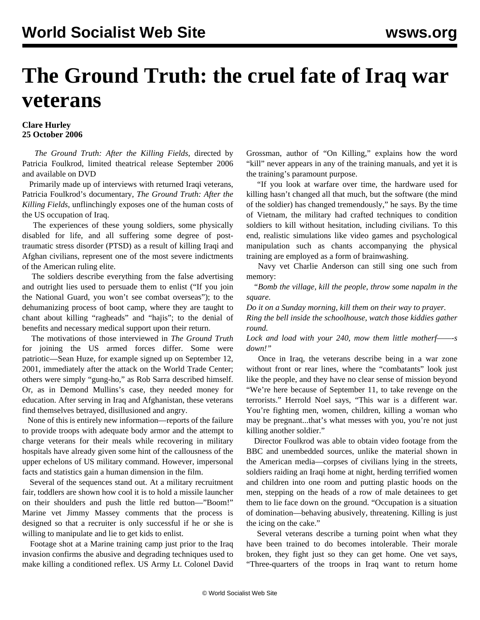## **The Ground Truth: the cruel fate of Iraq war veterans**

## **Clare Hurley 25 October 2006**

 *The Ground Truth: After the Killing Fields*, directed by Patricia Foulkrod, limited theatrical release September 2006 and available on DVD

 Primarily made up of interviews with returned Iraqi veterans, Patricia Foulkrod's documentary, *The Ground Truth: After the Killing Fields*, unflinchingly exposes one of the human costs of the US occupation of Iraq.

 The experiences of these young soldiers, some physically disabled for life, and all suffering some degree of posttraumatic stress disorder (PTSD) as a result of killing Iraqi and Afghan civilians, represent one of the most severe indictments of the American ruling elite.

 The soldiers describe everything from the false advertising and outright lies used to persuade them to enlist ("If you join the National Guard, you won't see combat overseas"); to the dehumanizing process of boot camp, where they are taught to chant about killing "ragheads" and "hajis"; to the denial of benefits and necessary medical support upon their return.

 The motivations of those interviewed in *The Ground Truth* for joining the US armed forces differ. Some were patriotic—Sean Huze, for example signed up on September 12, 2001, immediately after the attack on the World Trade Center; others were simply "gung-ho," as Rob Sarra described himself. Or, as in Demond Mullins's case, they needed money for education. After serving in Iraq and Afghanistan, these veterans find themselves betrayed, disillusioned and angry.

 None of this is entirely new information—reports of the failure to provide troops with adequate body armor and the attempt to charge veterans for their meals while recovering in military hospitals have already given some hint of the callousness of the upper echelons of US military command. However, impersonal facts and statistics gain a human dimension in the film.

 Several of the sequences stand out. At a military recruitment fair, toddlers are shown how cool it is to hold a missile launcher on their shoulders and push the little red button—"Boom!" Marine vet Jimmy Massey comments that the process is designed so that a recruiter is only successful if he or she is willing to manipulate and lie to get kids to enlist.

 Footage shot at a Marine training camp just prior to the Iraq invasion confirms the abusive and degrading techniques used to make killing a conditioned reflex. US Army Lt. Colonel David Grossman, author of "On Killing," explains how the word "kill" never appears in any of the training manuals, and yet it is the training's paramount purpose.

 "If you look at warfare over time, the hardware used for killing hasn't changed all that much, but the software (the mind of the soldier) has changed tremendously," he says. By the time of Vietnam, the military had crafted techniques to condition soldiers to kill without hesitation, including civilians. To this end, realistic simulations like video games and psychological manipulation such as chants accompanying the physical training are employed as a form of brainwashing.

 Navy vet Charlie Anderson can still sing one such from memory:

 *"Bomb the village, kill the people, throw some napalm in the square.*

*Do it on a Sunday morning, kill them on their way to prayer.*

*Ring the bell inside the schoolhouse, watch those kiddies gather round.*

*Lock and load with your 240, mow them little motherf——-s down!"*

 Once in Iraq, the veterans describe being in a war zone without front or rear lines, where the "combatants" look just like the people, and they have no clear sense of mission beyond "We're here because of September 11, to take revenge on the terrorists." Herrold Noel says, "This war is a different war. You're fighting men, women, children, killing a woman who may be pregnant...that's what messes with you, you're not just killing another soldier."

 Director Foulkrod was able to obtain video footage from the BBC and unembedded sources, unlike the material shown in the American media—corpses of civilians lying in the streets, soldiers raiding an Iraqi home at night, herding terrified women and children into one room and putting plastic hoods on the men, stepping on the heads of a row of male detainees to get them to lie face down on the ground. "Occupation is a situation of domination—behaving abusively, threatening. Killing is just the icing on the cake."

 Several veterans describe a turning point when what they have been trained to do becomes intolerable. Their morale broken, they fight just so they can get home. One vet says, "Three-quarters of the troops in Iraq want to return home